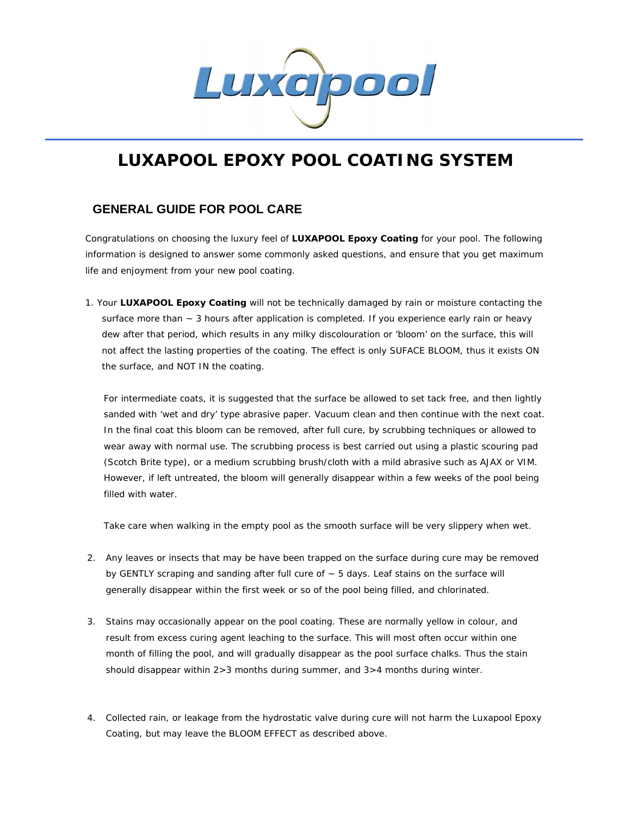

## **LUXAPOOL EPOXY POOL COATING SYSTEM**

## **GENERAL GUIDE FOR POOL CARE**

Congratulations on choosing the luxury feel of **LUXAPOOL Epoxy Coating** for your pool. The following information is designed to answer some commonly asked questions, and ensure that you get maximum life and enjoyment from your new pool coating.

1. Your **LUXAPOOL Epoxy Coating** will not be technically damaged by rain or moisture contacting the surface more than  $\sim$  3 hours after application is completed. If you experience early rain or heavy dew after that period, which results in any milky discolouration or 'bloom' on the surface, this will not affect the lasting properties of the coating. The effect is only SUFACE BLOOM, thus it exists ON the surface, and NOT IN the coating.

For intermediate coats, it is suggested that the surface be allowed to set tack free, and then lightly sanded with 'wet and dry' type abrasive paper. Vacuum clean and then continue with the next coat. In the final coat this bloom can be removed, after full cure, by scrubbing techniques or allowed to wear away with normal use. The scrubbing process is best carried out using a plastic scouring pad (Scotch Brite type), or a medium scrubbing brush/cloth with a mild abrasive such as AJAX or VIM. However, if left untreated, the bloom will generally disappear within a few weeks of the pool being filled with water.

Take care when walking in the empty pool as the smooth surface will be very slippery when wet.

- 2. Any leaves or insects that may be have been trapped on the surface during cure may be removed by GENTLY scraping and sanding after full cure of  $\sim$  5 days. Leaf stains on the surface will generally disappear within the first week or so of the pool being filled, and chlorinated.
- 3. Stains may occasionally appear on the pool coating. These are normally yellow in colour, and result from excess curing agent leaching to the surface. This will most often occur within one month of filling the pool, and will gradually disappear as the pool surface chalks. Thus the stain should disappear within 2>3 months during summer, and 3>4 months during winter.
- 4. Collected rain, or leakage from the hydrostatic valve during cure will not harm the Luxapool Epoxy Coating, but may leave the BLOOM EFFECT as described above.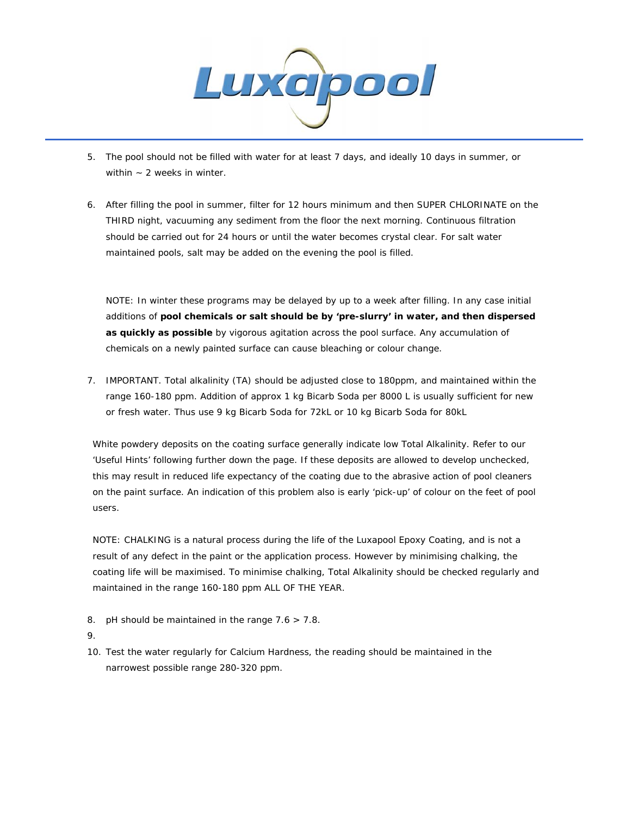

- 5. The pool should not be filled with water for at least 7 days, and ideally 10 days in summer, or within  $\sim$  2 weeks in winter.
- 6. After filling the pool in summer, filter for 12 hours minimum and then SUPER CHLORINATE on the THIRD night, vacuuming any sediment from the floor the next morning. Continuous filtration should be carried out for 24 hours or until the water becomes crystal clear. For salt water maintained pools, salt may be added on the evening the pool is filled.

NOTE: In winter these programs may be delayed by up to a week after filling. In any case initial additions of **pool chemicals or salt should be by 'pre-slurry' in water, and then dispersed as quickly as possible** by vigorous agitation across the pool surface. Any accumulation of chemicals on a newly painted surface can cause bleaching or colour change.

7. IMPORTANT. Total alkalinity (TA) should be adjusted close to 180ppm, and maintained within the range 160-180 ppm. Addition of approx 1 kg Bicarb Soda per 8000 L is usually sufficient for new or fresh water. Thus use 9 kg Bicarb Soda for 72kL or 10 kg Bicarb Soda for 80kL

White powdery deposits on the coating surface generally indicate low Total Alkalinity. Refer to our 'Useful Hints' following further down the page. If these deposits are allowed to develop unchecked, this may result in reduced life expectancy of the coating due to the abrasive action of pool cleaners on the paint surface. An indication of this problem also is early 'pick-up' of colour on the feet of pool users.

NOTE: CHALKING is a natural process during the life of the Luxapool Epoxy Coating, and is not a result of any defect in the paint or the application process. However by minimising chalking, the coating life will be maximised. To minimise chalking, Total Alkalinity should be checked regularly and maintained in the range 160-180 ppm ALL OF THE YEAR.

- 8. pH should be maintained in the range 7.6 > 7.8.
- 9.
- 10. Test the water regularly for Calcium Hardness, the reading should be maintained in the narrowest possible range 280-320 ppm.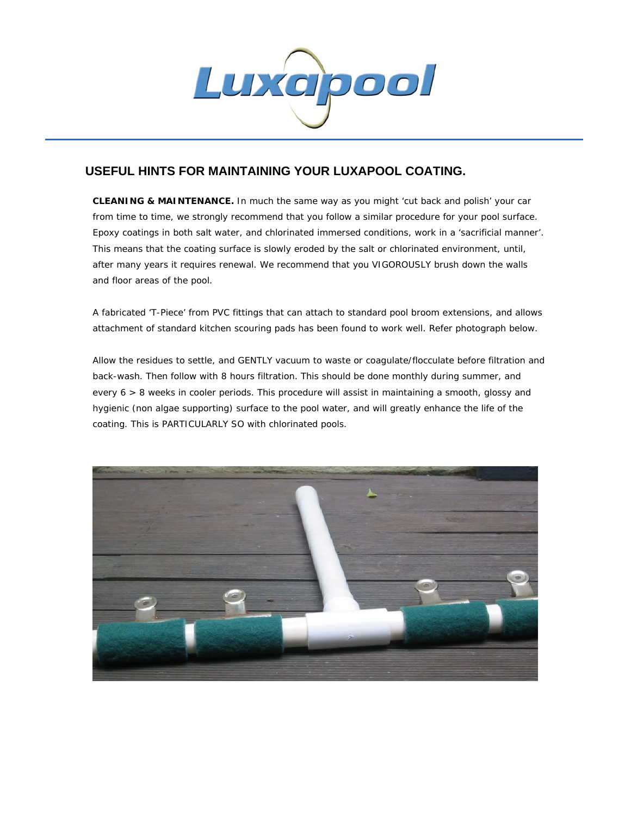

## **USEFUL HINTS FOR MAINTAINING YOUR LUXAPOOL COATING.**

**CLEANING & MAINTENANCE.** In much the same way as you might 'cut back and polish' your car from time to time, we strongly recommend that you follow a similar procedure for your pool surface. Epoxy coatings in both salt water, and chlorinated immersed conditions, work in a 'sacrificial manner'. This means that the coating surface is slowly eroded by the salt or chlorinated environment, until, after many years it requires renewal. We recommend that you VIGOROUSLY brush down the walls and floor areas of the pool.

A fabricated 'T-Piece' from PVC fittings that can attach to standard pool broom extensions, and allows attachment of standard kitchen scouring pads has been found to work well. Refer photograph below.

Allow the residues to settle, and GENTLY vacuum to waste or coagulate/flocculate before filtration and back-wash. Then follow with 8 hours filtration. This should be done monthly during summer, and every 6 > 8 weeks in cooler periods. This procedure will assist in maintaining a smooth, glossy and hygienic (non algae supporting) surface to the pool water, and will greatly enhance the life of the coating. This is PARTICULARLY SO with chlorinated pools.